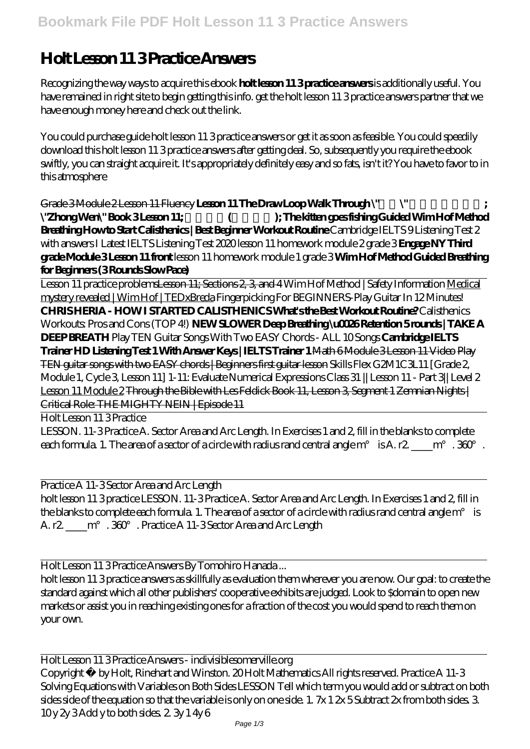## **Holt Lesson 11 3 Practice Answers**

Recognizing the way ways to acquire this ebook **holt lesson 11 3 practice answers** is additionally useful. You have remained in right site to begin getting this info. get the holt lesson 11 3 practice answers partner that we have enough money here and check out the link.

You could purchase guide holt lesson 11 3 practice answers or get it as soon as feasible. You could speedily download this holt lesson 11 3 practice answers after getting deal. So, subsequently you require the ebook swiftly, you can straight acquire it. It's appropriately definitely easy and so fats, isn't it? You have to favor to in this atmosphere

Grade 3 Module 2 Lesson 11 Fluency Lesson 11 The Draw Loop Walk Through \" \"Zhong Wen\" Book 3 Lesson 11; \\times\\times\times\times\times\times\times\times\times\times\times\times\times\times\times\times\times\times\times\times\times\times\times\times\times\times\times\times\times\times\times\t **Breathing How to Start Calisthenics | Best Beginner Workout Routine** Cambridge IELTS 9 Listening Test 2 with answers I Latest IELTS Listening Test 2020 lesson 11 homework module 2 grade 3 **Engage NY Third grade Module 3 Lesson 11 front** *lesson 11 homework module 1 grade 3* **Wim Hof Method Guided Breathing for Beginners (3 Rounds Slow Pace)**

Lesson 11 practice problemsLesson 11; Sections 2, 3, and 4 Wim Hof Method | Safety Information Medical mystery revealed | Wim Hof | TEDxBreda *Fingerpicking For BEGINNERS-Play Guitar In 12 Minutes!* **CHRIS HERIA - HOW I STARTED CALISTHENICS What's the Best Workout Routine?** Calisthenics Workouts: Pros and Cons (TOP 4!) **NEW SLOWER Deep Breathing \u0026 Retention 5 rounds | TAKE A DEEP BREATH** Play TEN Guitar Songs With Two EASY Chords - ALL 10 Songs **Cambridge IELTS Trainer HD Listening Test 1 With Answer Keys | IELTS Trainer 1** Math 6 Module 3 Lesson 11 Video Play TEN guitar songs with two EASY chords | Beginners first guitar lesson *Skills Flex G2M1C3L11 [Grade 2, Module 1, Cycle 3, Lesson 11] 1-11: Evaluate Numerical Expressions Class 31 || Lesson 11 - Part 3|| Level 2* Lesson 11 Module 2 Through the Bible with Les Feldick Book 11, Lesson 3, Segment 1 Zemnian Nights | Critical Role: THE MIGHTY NEIN | Episode 11

Holt Lesson 11 3 Practice

LESSON. 11-3 Practice A. Sector Area and Arc Length. In Exercises 1 and 2, fill in the blanks to complete each formula. 1. The area of a sector of a circle with radius rand central angle  $m^{\circ}$  is A. r2. \_\_\_m°. 360°.

Practice A 11-3 Sector Area and Arc Length

holt lesson 11 3 practice LESSON. 11-3 Practice A. Sector Area and Arc Length. In Exercises 1 and 2, fill in the blanks to complete each formula. 1. The area of a sector of a circle with radius rand central angle m° is A. r2.  $\qquad$  m°  $.360$   $.$  Practice A 11-3 Sector Area and Arc Length

Holt Lesson 11 3 Practice Answers By Tomohiro Hanada ...

holt lesson 11 3 practice answers as skillfully as evaluation them wherever you are now. Our goal: to create the standard against which all other publishers' cooperative exhibits are judged. Look to \$domain to open new markets or assist you in reaching existing ones for a fraction of the cost you would spend to reach them on your own.

Holt Lesson 11 3 Practice Answers - indivisiblesomerville.org Copyright © by Holt, Rinehart and Winston. 20 Holt Mathematics All rights reserved. Practice A 11-3 Solving Equations with Variables on Both Sides LESSON Tell which term you would add or subtract on both sides side of the equation so that the variable is only on one side. 1.  $7x12x5$  Subtract 2x from both sides. 3.  $10y 2y 3$  Add y to both sides.  $2.3y 1 4y 6$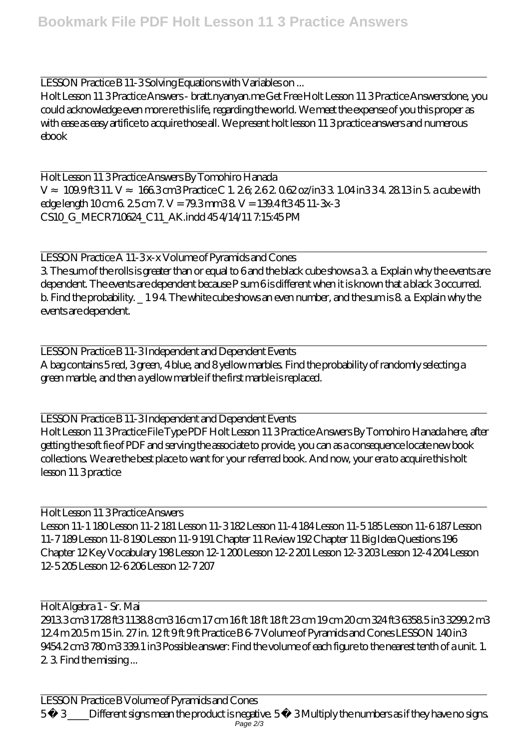LESSON Practice B 11-3 Solving Equations with Variables on ...

Holt Lesson 11 3 Practice Answers - bratt.nyanyan.me Get Free Holt Lesson 11 3 Practice Answersdone, you could acknowledge even more re this life, regarding the world. We meet the expense of you this proper as with ease as easy artifice to acquire those all. We present holt lesson 11 3 practice answers and numerous ebook

Holt Lesson 11 3 Practice Answers By Tomohiro Hanada V 109.01 ft3 11. V 166.3 cm3 Practice C 1. 2.6; 2.6 2.062 oz/in 3.3 1.04 in 3.3 4. 28.13 in 5. a cube with edge length 10 cm 6. 2.5 cm 7. V = 79.3 mm3 8. V = 139.4 ft3 45 11-3x-3 CS10\_G\_MECR710624\_C11\_AK.indd 45 4/14/11 7:15:45 PM

LESSON Practice A 11-3x-x Volume of Pyramids and Cones 3. The sum of the rolls is greater than or equal to 6 and the black cube shows a 3. a. Explain why the events are dependent. The events are dependent because P sum 6 is different when it is known that a black 3 occurred. b. Find the probability. \_ 1 9 4. The white cube shows an even number, and the sum is 8. a. Explain why the events are dependent.

LESSON Practice B 11-3 Independent and Dependent Events A bag contains 5 red, 3 green, 4 blue, and 8 yellow marbles. Find the probability of randomly selecting a green marble, and then a yellow marble if the first marble is replaced.

LESSON Practice B 11-3 Independent and Dependent Events Holt Lesson 11 3 Practice File Type PDF Holt Lesson 11 3 Practice Answers By Tomohiro Hanada here, after getting the soft fie of PDF and serving the associate to provide, you can as a consequence locate new book collections. We are the best place to want for your referred book. And now, your era to acquire this holt lesson 11 3 practice

Holt Lesson 11 3 Practice Answers Lesson 11-1 180 Lesson 11-2 181 Lesson 11-3 182 Lesson 11-4 184 Lesson 11-5 185 Lesson 11-6 187 Lesson 11-7 189 Lesson 11-8 190 Lesson 11-9 191 Chapter 11 Review 192 Chapter 11 Big Idea Questions 196 Chapter 12 Key Vocabulary 198 Lesson 12-1 200 Lesson 12-2 201 Lesson 12-3 203 Lesson 12-4 204 Lesson 12-5 205 Lesson 12-6 206 Lesson 12-7 207

Holt Algebra 1 - Sr. Mai 2913.3 cm3 1728 ft3 1138.8 cm3 16 cm 17 cm 16 ft 18 ft 18 ft 23 cm 19 cm 20 cm 324 ft3 6358.5 in3 3299.2 m3 124 m 205 m 15 in. 27 in. 12 ft 9 ft 9 ft Practice B 6-7 Volume of Pyramids and Cones LESSON 140 in 3 9454.2 cm3 780 m3 339.1 in3 Possible answer: Find the volume of each figure to the nearest tenth of a unit. 1. 2. 3. Find the missing ...